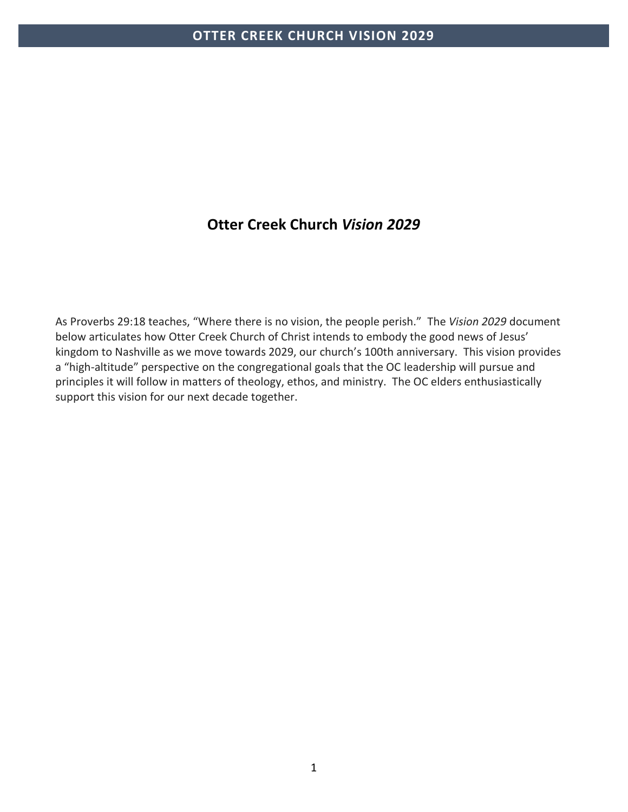# **Otter Creek Church** *Vision 2029*

As Proverbs 29:18 teaches, "Where there is no vision, the people perish." The *Vision 2029* document below articulates how Otter Creek Church of Christ intends to embody the good news of Jesus' kingdom to Nashville as we move towards 2029, our church's 100th anniversary. This vision provides a "high-altitude" perspective on the congregational goals that the OC leadership will pursue and principles it will follow in matters of theology, ethos, and ministry. The OC elders enthusiastically support this vision for our next decade together.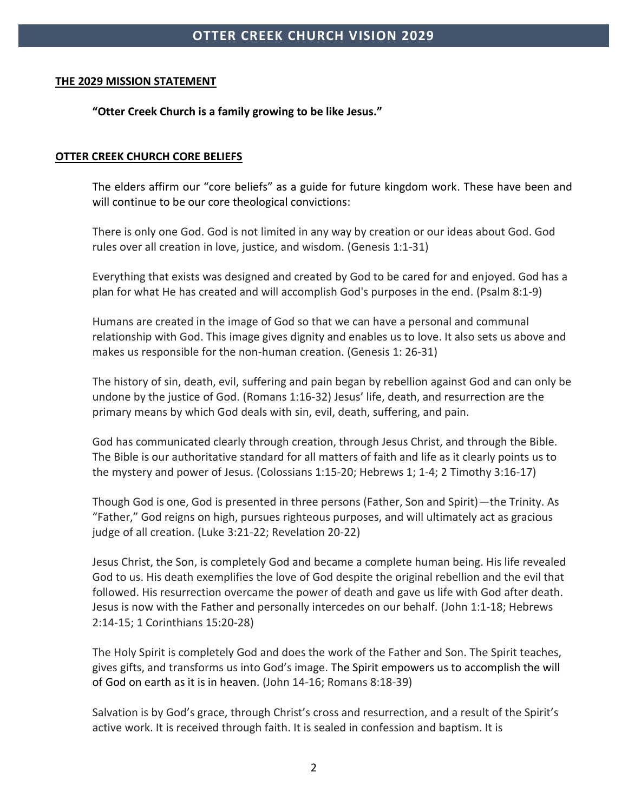### **THE 2029 MISSION STATEMENT**

**"Otter Creek Church is a family growing to be like Jesus."** 

### **OTTER CREEK CHURCH CORE BELIEFS**

The elders affirm our "core beliefs" as a guide for future kingdom work. These have been and will continue to be our core theological convictions:

There is only one God. God is not limited in any way by creation or our ideas about God. God rules over all creation in love, justice, and wisdom. (Genesis 1:1-31)

Everything that exists was designed and created by God to be cared for and enjoyed. God has a plan for what He has created and will accomplish God's purposes in the end. (Psalm 8:1-9)

Humans are created in the image of God so that we can have a personal and communal relationship with God. This image gives dignity and enables us to love. It also sets us above and makes us responsible for the non-human creation. (Genesis 1: 26-31)

The history of sin, death, evil, suffering and pain began by rebellion against God and can only be undone by the justice of God. (Romans 1:16-32) Jesus' life, death, and resurrection are the primary means by which God deals with sin, evil, death, suffering, and pain.

God has communicated clearly through creation, through Jesus Christ, and through the Bible. The Bible is our authoritative standard for all matters of faith and life as it clearly points us to the mystery and power of Jesus. (Colossians 1:15-20; Hebrews 1; 1-4; 2 Timothy 3:16-17)

Though God is one, God is presented in three persons (Father, Son and Spirit)—the Trinity. As "Father," God reigns on high, pursues righteous purposes, and will ultimately act as gracious judge of all creation. (Luke 3:21-22; Revelation 20-22)

Jesus Christ, the Son, is completely God and became a complete human being. His life revealed God to us. His death exemplifies the love of God despite the original rebellion and the evil that followed. His resurrection overcame the power of death and gave us life with God after death. Jesus is now with the Father and personally intercedes on our behalf. (John 1:1-18; Hebrews 2:14-15; 1 Corinthians 15:20-28)

The Holy Spirit is completely God and does the work of the Father and Son. The Spirit teaches, gives gifts, and transforms us into God's image. The Spirit empowers us to accomplish the will of God on earth as it is in heaven. (John 14-16; Romans 8:18-39)

Salvation is by God's grace, through Christ's cross and resurrection, and a result of the Spirit's active work. It is received through faith. It is sealed in confession and baptism. It is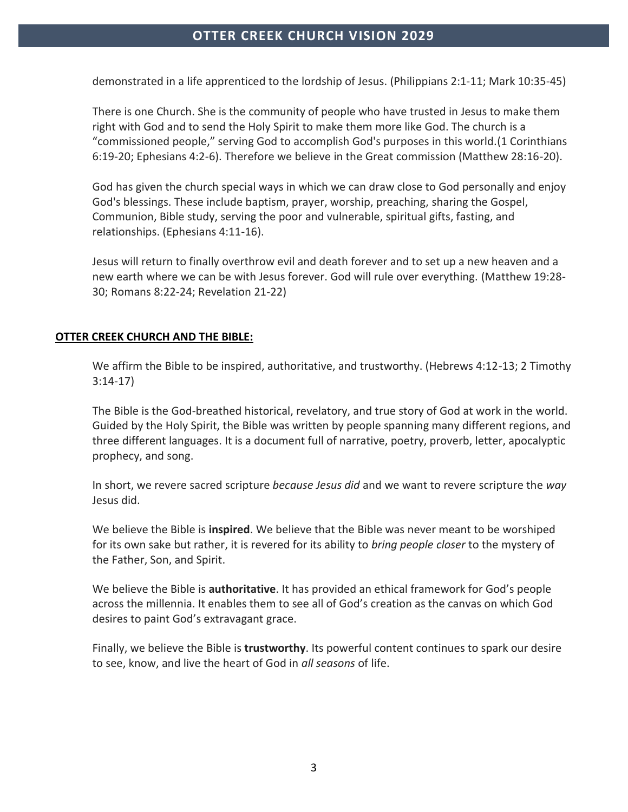demonstrated in a life apprenticed to the lordship of Jesus. (Philippians 2:1-11; Mark 10:35-45)

There is one Church. She is the community of people who have trusted in Jesus to make them right with God and to send the Holy Spirit to make them more like God. The church is a "commissioned people," serving God to accomplish God's purposes in this world.(1 Corinthians 6:19-20; Ephesians 4:2-6). Therefore we believe in the Great commission (Matthew 28:16-20).

God has given the church special ways in which we can draw close to God personally and enjoy God's blessings. These include baptism, prayer, worship, preaching, sharing the Gospel, Communion, Bible study, serving the poor and vulnerable, spiritual gifts, fasting, and relationships. (Ephesians 4:11-16).

Jesus will return to finally overthrow evil and death forever and to set up a new heaven and a new earth where we can be with Jesus forever. God will rule over everything. (Matthew 19:28- 30; Romans 8:22-24; Revelation 21-22)

### **OTTER CREEK CHURCH AND THE BIBLE:**

We affirm the Bible to be inspired, authoritative, and trustworthy. (Hebrews 4:12-13; 2 Timothy 3:14-17)

The Bible is the God-breathed historical, revelatory, and true story of God at work in the world. Guided by the Holy Spirit, the Bible was written by people spanning many different regions, and three different languages. It is a document full of narrative, poetry, proverb, letter, apocalyptic prophecy, and song.

In short, we revere sacred scripture *because Jesus did* and we want to revere scripture the *way* Jesus did.

We believe the Bible is **inspired**. We believe that the Bible was never meant to be worshiped for its own sake but rather, it is revered for its ability to *bring people closer* to the mystery of the Father, Son, and Spirit.

We believe the Bible is **authoritative**. It has provided an ethical framework for God's people across the millennia. It enables them to see all of God's creation as the canvas on which God desires to paint God's extravagant grace.

Finally, we believe the Bible is **trustworthy**. Its powerful content continues to spark our desire to see, know, and live the heart of God in *all seasons* of life.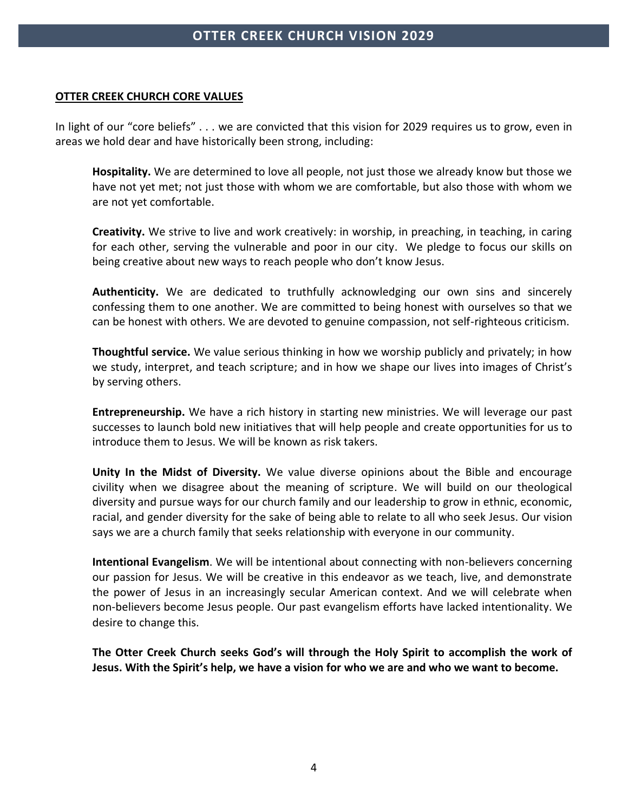### **OTTER CREEK CHURCH CORE VALUES**

In light of our "core beliefs" . . . we are convicted that this vision for 2029 requires us to grow, even in areas we hold dear and have historically been strong, including:

**Hospitality.** We are determined to love all people, not just those we already know but those we have not yet met; not just those with whom we are comfortable, but also those with whom we are not yet comfortable.

**Creativity.** We strive to live and work creatively: in worship, in preaching, in teaching, in caring for each other, serving the vulnerable and poor in our city. We pledge to focus our skills on being creative about new ways to reach people who don't know Jesus.

**Authenticity.** We are dedicated to truthfully acknowledging our own sins and sincerely confessing them to one another. We are committed to being honest with ourselves so that we can be honest with others. We are devoted to genuine compassion, not self-righteous criticism.

**Thoughtful service.** We value serious thinking in how we worship publicly and privately; in how we study, interpret, and teach scripture; and in how we shape our lives into images of Christ's by serving others.

**Entrepreneurship.** We have a rich history in starting new ministries. We will leverage our past successes to launch bold new initiatives that will help people and create opportunities for us to introduce them to Jesus. We will be known as risk takers.

**Unity In the Midst of Diversity.** We value diverse opinions about the Bible and encourage civility when we disagree about the meaning of scripture. We will build on our theological diversity and pursue ways for our church family and our leadership to grow in ethnic, economic, racial, and gender diversity for the sake of being able to relate to all who seek Jesus. Our vision says we are a church family that seeks relationship with everyone in our community.

**Intentional Evangelism**. We will be intentional about connecting with non-believers concerning our passion for Jesus. We will be creative in this endeavor as we teach, live, and demonstrate the power of Jesus in an increasingly secular American context. And we will celebrate when non-believers become Jesus people. Our past evangelism efforts have lacked intentionality. We desire to change this.

**The Otter Creek Church seeks God's will through the Holy Spirit to accomplish the work of Jesus. With the Spirit's help, we have a vision for who we are and who we want to become.**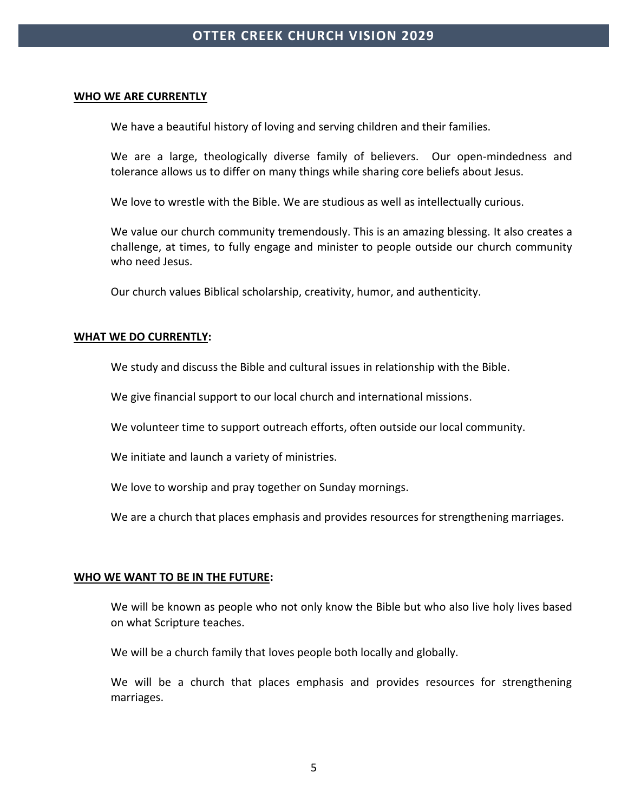#### **WHO WE ARE CURRENTLY**

We have a beautiful history of loving and serving children and their families.

We are a large, theologically diverse family of believers. Our open-mindedness and tolerance allows us to differ on many things while sharing core beliefs about Jesus.

We love to wrestle with the Bible. We are studious as well as intellectually curious.

We value our church community tremendously. This is an amazing blessing. It also creates a challenge, at times, to fully engage and minister to people outside our church community who need Jesus.

Our church values Biblical scholarship, creativity, humor, and authenticity.

#### **WHAT WE DO CURRENTLY:**

We study and discuss the Bible and cultural issues in relationship with the Bible.

We give financial support to our local church and international missions.

We volunteer time to support outreach efforts, often outside our local community.

We initiate and launch a variety of ministries.

We love to worship and pray together on Sunday mornings.

We are a church that places emphasis and provides resources for strengthening marriages.

#### **WHO WE WANT TO BE IN THE FUTURE:**

We will be known as people who not only know the Bible but who also live holy lives based on what Scripture teaches.

We will be a church family that loves people both locally and globally.

We will be a church that places emphasis and provides resources for strengthening marriages.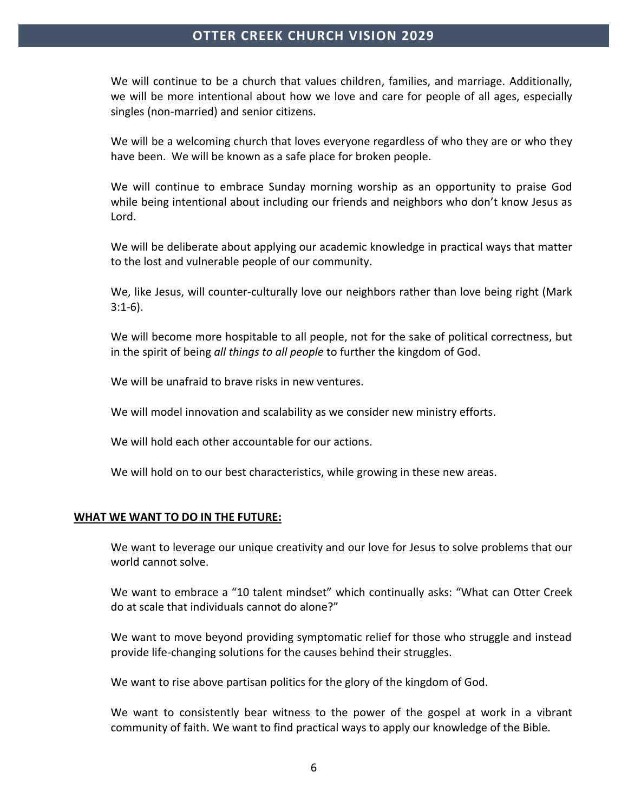We will continue to be a church that values children, families, and marriage. Additionally, we will be more intentional about how we love and care for people of all ages, especially singles (non-married) and senior citizens.

We will be a welcoming church that loves everyone regardless of who they are or who they have been. We will be known as a safe place for broken people.

We will continue to embrace Sunday morning worship as an opportunity to praise God while being intentional about including our friends and neighbors who don't know Jesus as Lord.

We will be deliberate about applying our academic knowledge in practical ways that matter to the lost and vulnerable people of our community.

We, like Jesus, will counter-culturally love our neighbors rather than love being right (Mark 3:1-6).

We will become more hospitable to all people, not for the sake of political correctness, but in the spirit of being *all things to all people* to further the kingdom of God.

We will be unafraid to brave risks in new ventures.

We will model innovation and scalability as we consider new ministry efforts.

We will hold each other accountable for our actions.

We will hold on to our best characteristics, while growing in these new areas.

#### **WHAT WE WANT TO DO IN THE FUTURE:**

We want to leverage our unique creativity and our love for Jesus to solve problems that our world cannot solve.

We want to embrace a "10 talent mindset" which continually asks: "What can Otter Creek do at scale that individuals cannot do alone?"

We want to move beyond providing symptomatic relief for those who struggle and instead provide life-changing solutions for the causes behind their struggles.

We want to rise above partisan politics for the glory of the kingdom of God.

We want to consistently bear witness to the power of the gospel at work in a vibrant community of faith. We want to find practical ways to apply our knowledge of the Bible.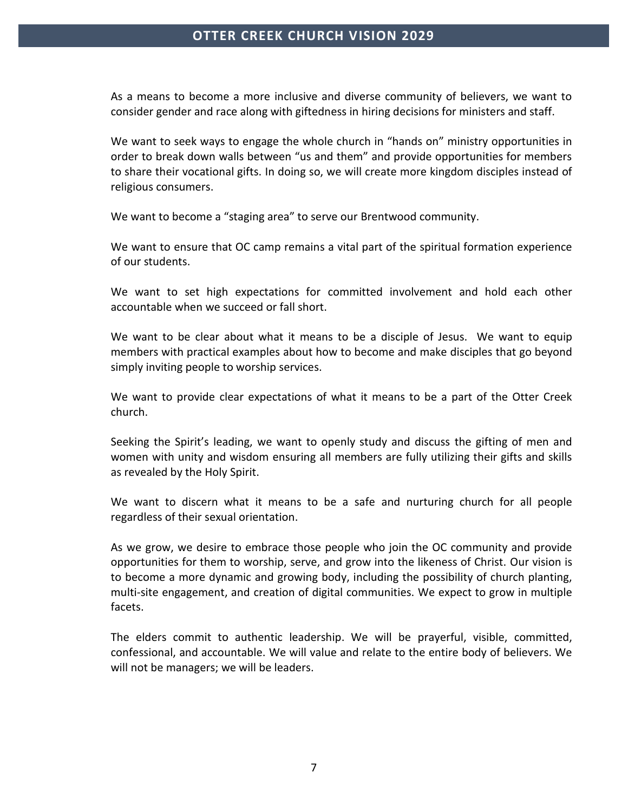As a means to become a more inclusive and diverse community of believers, we want to consider gender and race along with giftedness in hiring decisions for ministers and staff.

We want to seek ways to engage the whole church in "hands on" ministry opportunities in order to break down walls between "us and them" and provide opportunities for members to share their vocational gifts. In doing so, we will create more kingdom disciples instead of religious consumers.

We want to become a "staging area" to serve our Brentwood community.

We want to ensure that OC camp remains a vital part of the spiritual formation experience of our students.

We want to set high expectations for committed involvement and hold each other accountable when we succeed or fall short.

We want to be clear about what it means to be a disciple of Jesus. We want to equip members with practical examples about how to become and make disciples that go beyond simply inviting people to worship services.

We want to provide clear expectations of what it means to be a part of the Otter Creek church.

Seeking the Spirit's leading, we want to openly study and discuss the gifting of men and women with unity and wisdom ensuring all members are fully utilizing their gifts and skills as revealed by the Holy Spirit.

We want to discern what it means to be a safe and nurturing church for all people regardless of their sexual orientation.

As we grow, we desire to embrace those people who join the OC community and provide opportunities for them to worship, serve, and grow into the likeness of Christ. Our vision is to become a more dynamic and growing body, including the possibility of church planting, multi-site engagement, and creation of digital communities. We expect to grow in multiple facets.

The elders commit to authentic leadership. We will be prayerful, visible, committed, confessional, and accountable. We will value and relate to the entire body of believers. We will not be managers; we will be leaders.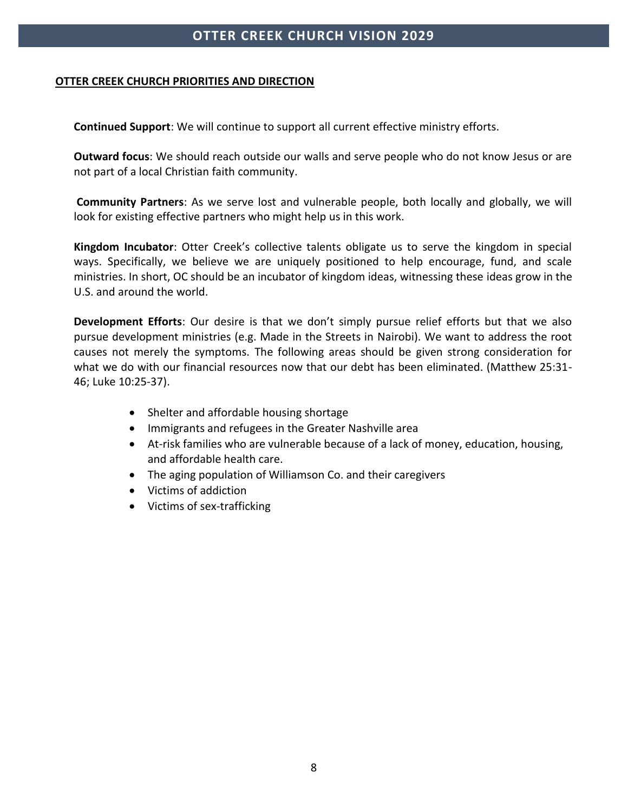#### **OTTER CREEK CHURCH PRIORITIES AND DIRECTION**

**Continued Support**: We will continue to support all current effective ministry efforts.

**Outward focus**: We should reach outside our walls and serve people who do not know Jesus or are not part of a local Christian faith community.

**Community Partners**: As we serve lost and vulnerable people, both locally and globally, we will look for existing effective partners who might help us in this work.

**Kingdom Incubator**: Otter Creek's collective talents obligate us to serve the kingdom in special ways. Specifically, we believe we are uniquely positioned to help encourage, fund, and scale ministries. In short, OC should be an incubator of kingdom ideas, witnessing these ideas grow in the U.S. and around the world.

**Development Efforts**: Our desire is that we don't simply pursue relief efforts but that we also pursue development ministries (e.g. Made in the Streets in Nairobi). We want to address the root causes not merely the symptoms. The following areas should be given strong consideration for what we do with our financial resources now that our debt has been eliminated. (Matthew 25:31- 46; Luke 10:25-37).

- Shelter and affordable housing shortage
- Immigrants and refugees in the Greater Nashville area
- At-risk families who are vulnerable because of a lack of money, education, housing, and affordable health care.
- The aging population of Williamson Co. and their caregivers
- Victims of addiction
- Victims of sex-trafficking